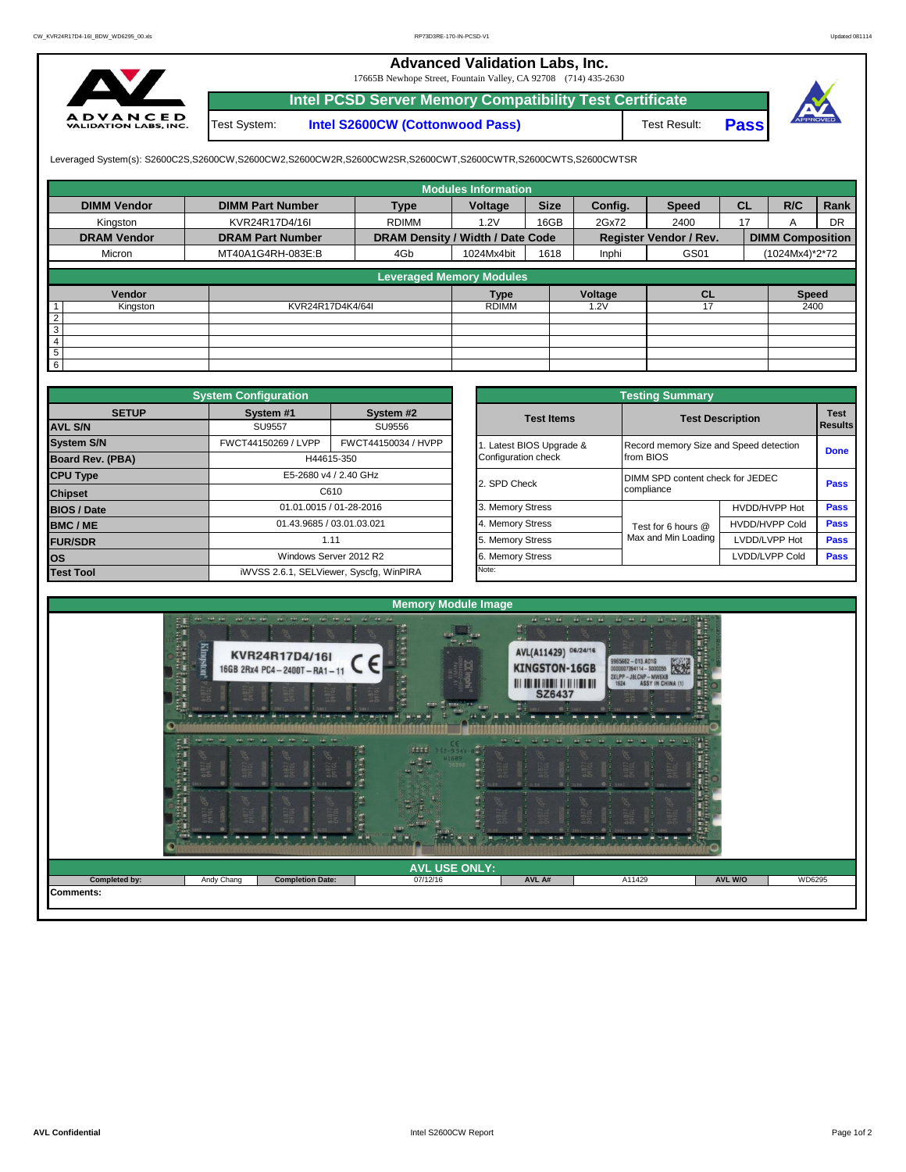## **Advanced Validation Labs, Inc.**

17665B Newhope Street, Fountain Valley, CA 92708 (714) 435-2630



Test System: **Intel S2600CW (Cottonwood Pass) Intel PCSD Server Memory Compatibility Test Certificate**

Test Result: **Pass**



Leveraged System(s): S2600C2S,S2600CW,S2600CW2,S2600CW2R,S2600CW2SR,S2600CWT,S2600CWTR,S2600CWTS,S2600CWTSR

|                    |                         |                                  | <b>Modules Information</b> |             |         |                               |           |                         |           |
|--------------------|-------------------------|----------------------------------|----------------------------|-------------|---------|-------------------------------|-----------|-------------------------|-----------|
| <b>DIMM Vendor</b> | <b>DIMM Part Number</b> | <b>Type</b>                      | Voltage                    | <b>Size</b> | Config. | <b>Speed</b>                  | <b>CL</b> | R/C                     | Rank      |
| Kingston           | KVR24R17D4/16I          | <b>RDIMM</b>                     | 1.2V                       | 16GB        | 2Gx72   | 2400                          | 17        | A                       | <b>DR</b> |
| <b>DRAM Vendor</b> | <b>DRAM Part Number</b> | DRAM Density / Width / Date Code |                            |             |         | <b>Register Vendor / Rev.</b> |           | <b>DIMM Composition</b> |           |
| Micron             | MT40A1G4RH-083E:B       | 4Gb                              | 1024Mx4bit                 | 1618        | Inphi   | GS01                          |           | (1024Mx4)*2*72          |           |
|                    |                         |                                  |                            |             |         |                               |           |                         |           |
|                    |                         | <b>Leveraged Memory Modules</b>  |                            |             |         |                               |           |                         |           |
| Vendor             |                         |                                  | <b>Type</b>                |             | Voltage | <b>CL</b>                     |           | <b>Speed</b>            |           |
| Kingston           | KVR24R17D4K4/64I        |                                  | <b>RDIMM</b>               |             | .2V     |                               |           | 2400                    |           |
| $\overline{2}$     |                         |                                  |                            |             |         |                               |           |                         |           |
| 3                  |                         |                                  |                            |             |         |                               |           |                         |           |
| $\overline{4}$     |                         |                                  |                            |             |         |                               |           |                         |           |
| 5                  |                         |                                  |                            |             |         |                               |           |                         |           |
| 6                  |                         |                                  |                            |             |         |                               |           |                         |           |

|                         | <b>System Configuration</b> |                                         |                       | <b>Testing Summary</b>                 |                         |             |
|-------------------------|-----------------------------|-----------------------------------------|-----------------------|----------------------------------------|-------------------------|-------------|
| <b>SETUP</b>            | System #1                   | System #2                               | <b>Test Items</b>     |                                        | <b>Test Description</b> | <b>Test</b> |
| <b>AVL S/N</b>          | <b>SU9557</b>               | SU9556                                  |                       |                                        |                         | Results     |
| <b>System S/N</b>       | FWCT44150269 / LVPP         | FWCT44150034 / HVPP                     | Latest BIOS Upgrade & | Record memory Size and Speed detection |                         | <b>Done</b> |
| <b>Board Rev. (PBA)</b> |                             | H44615-350                              | Configuration check   | from BIOS                              |                         |             |
| <b>CPU Type</b>         |                             | E5-2680 v4 / 2.40 GHz                   | 2. SPD Check          | DIMM SPD content check for JEDEC       |                         | <b>Pass</b> |
| <b>Chipset</b>          |                             | C610                                    |                       | compliance                             |                         |             |
| <b>BIOS / Date</b>      |                             | 01.01.0015 / 01-28-2016                 | 3. Memory Stress      |                                        | HVDD/HVPP Hot           | <b>Pass</b> |
| <b>BMC/ME</b>           |                             | 01.43.9685 / 03.01.03.021               | 4. Memory Stress      | Test for 6 hours @                     | <b>HVDD/HVPP Cold</b>   | Pass        |
| <b>FUR/SDR</b>          |                             | 1.11                                    | 5. Memory Stress      | Max and Min Loading                    | LVDD/LVPP Hot           | <b>Pass</b> |
| <b>los</b>              |                             | Windows Server 2012 R2                  | 6. Memory Stress      |                                        | LVDD/LVPP Cold          | Pass        |
| <b>Test Tool</b>        |                             | iWVSS 2.6.1, SELViewer, Syscfg, WinPIRA | Note:                 |                                        |                         |             |

|              | <b>System Configuration</b> |                                         |                       | <b>Testing Summary</b>           |                                        |                |  |
|--------------|-----------------------------|-----------------------------------------|-----------------------|----------------------------------|----------------------------------------|----------------|--|
| <b>SETUP</b> | System #1                   | System #2                               | <b>Test Items</b>     | <b>Test Description</b>          |                                        | <b>Test</b>    |  |
|              | <b>SU9557</b><br>SU9556     |                                         |                       |                                  |                                        | <b>Results</b> |  |
|              | FWCT44150269 / LVPP         | FWCT44150034 / HVPP                     | Latest BIOS Upgrade & |                                  | Record memory Size and Speed detection |                |  |
| PBA)         |                             | H44615-350                              | Configuration check   | from BIOS                        |                                        | <b>Done</b>    |  |
|              |                             | E5-2680 v4 / 2.40 GHz                   | 2. SPD Check          | DIMM SPD content check for JEDEC |                                        | Pass           |  |
|              |                             | C610                                    |                       | compliance                       |                                        |                |  |
|              |                             | 01.01.0015 / 01-28-2016                 | 3. Memory Stress      |                                  | HVDD/HVPP Hot                          | Pass           |  |
|              | 01.43.9685 / 03.01.03.021   |                                         | 4. Memory Stress      | Test for 6 hours @               | <b>HVDD/HVPP Cold</b>                  | Pass           |  |
|              | 1.11                        |                                         | 5. Memory Stress      | Max and Min Loading              | LVDD/LVPP Hot                          | Pass           |  |
|              |                             | Windows Server 2012 R2                  | 6. Memory Stress      |                                  | LVDD/LVPP Cold                         | Pass           |  |
|              |                             | iWVSS 2.6.1, SELViewer, Syscfq, WinPIRA | Note:                 |                                  |                                        |                |  |

| THE THE CO. OF CO. CO. CO.<br>$\begin{smallmatrix} 0 & -\alpha & \alpha & \alpha & \alpha & \alpha & \alpha & \alpha & \alpha & \alpha & \alpha \end{smallmatrix}$<br>en co-<br>and the and<br>and come and<br>ていたい こうしょう こうしょう こうしょう こうしょう こうしょう こうしょう<br>$14 - 11 - 14$<br>$-$<br><b>Kingston</b><br>AVL(A11429) 06/24/16<br>KVR24R17D4/16I<br>9965662 - 013.4016<br>0000007394114 - 5000055<br>2XLPP - J9LCNP - MW6XB<br>1624 - ASSY IN CHINA (1)<br>隧道<br><b>KINGSTON-16GB</b><br>16GB 2Rx4 PC4-2400T-RA1-11<br>E<br>$10 - 7$<br><b>SZ6437</b><br><b>TITLE</b><br>mmax<br>$x + 5x$<br>$9 + 5k + 1$<br>腱<br>E.B<br>Web Steel<br>where.<br><b>STRA</b><br><b>Corp.</b><br>$\begin{bmatrix} \mathbf{1} & \mathbf{1} & \mathbf{1} & \mathbf{1} & \mathbf{1} & \mathbf{1} & \mathbf{1} & \mathbf{1} & \mathbf{1} & \mathbf{1} & \mathbf{1} & \mathbf{1} & \mathbf{1} & \mathbf{1} & \mathbf{1} & \mathbf{1} & \mathbf{1} & \mathbf{1} & \mathbf{1} & \mathbf{1} & \mathbf{1} & \mathbf{1} & \mathbf{1} & \mathbf{1} & \mathbf{1} & \mathbf{1} & \mathbf{1} & \mathbf{1} & \mathbf{1} & \mathbf{1} & \mathbf{$<br><b>AN ARTIST</b><br>the committee.<br>m<br>ika.<br><b>WHISHING</b><br>tags.<br>$12 - 994V - 890$<br>H<br><b>W1689</b><br>H<br>0.1311<br>w<br>國王 |  | <b>Memory Module Image</b> |  |        |
|-----------------------------------------------------------------------------------------------------------------------------------------------------------------------------------------------------------------------------------------------------------------------------------------------------------------------------------------------------------------------------------------------------------------------------------------------------------------------------------------------------------------------------------------------------------------------------------------------------------------------------------------------------------------------------------------------------------------------------------------------------------------------------------------------------------------------------------------------------------------------------------------------------------------------------------------------------------------------------------------------------------------------------------------------------------------------------------------------------------------------------------------------------------------------------------------------------------------------------------------------------------------|--|----------------------------|--|--------|
|                                                                                                                                                                                                                                                                                                                                                                                                                                                                                                                                                                                                                                                                                                                                                                                                                                                                                                                                                                                                                                                                                                                                                                                                                                                                 |  |                            |  |        |
|                                                                                                                                                                                                                                                                                                                                                                                                                                                                                                                                                                                                                                                                                                                                                                                                                                                                                                                                                                                                                                                                                                                                                                                                                                                                 |  |                            |  |        |
| <b>AVL USE ONLY:</b><br><b>Completed by:</b><br>AVL W/O<br><b>Completion Date:</b><br>AVL A#<br>A11429<br>Andy Chang<br>07/12/16                                                                                                                                                                                                                                                                                                                                                                                                                                                                                                                                                                                                                                                                                                                                                                                                                                                                                                                                                                                                                                                                                                                                |  |                            |  | WD6295 |